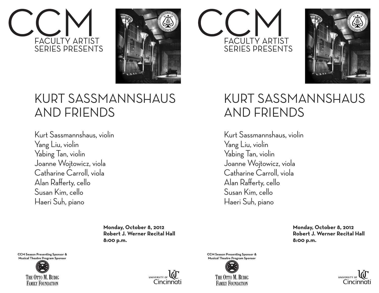



### KURT SASSMANNSHAUS AND FRIENDS

Kurt Sassmannshaus, violin Yang Liu, violin Yabing Tan, violin Joanne Wojtowicz, viola Catharine Carroll, viola Alan Rafferty, cello Susan Kim, cello Haeri Suh, piano

> **Monday, October 8, 2012 Robert J. Werner Recital Hall 8:00 p.m.**

**CCM Season Presenting Sponsor &** Musical Theatre Program Sponsor





**CCM Season Presenting Sponsor &** Musical Theatre Program Sponsor





### KURT SASSMANNSHAUS AND FRIENDS

Kurt Sassmannshaus, violin Yang Liu, violin Yabing Tan, violin Joanne Wojtowicz, viola Catharine Carroll, viola Alan Rafferty, cello Susan Kim, cello Haeri Suh, piano

FACULTY ARTIST SERIES PRESENTS

> **Monday, October 8, 2012 Robert J. Werner Recital Hall 8:00 p.m.**